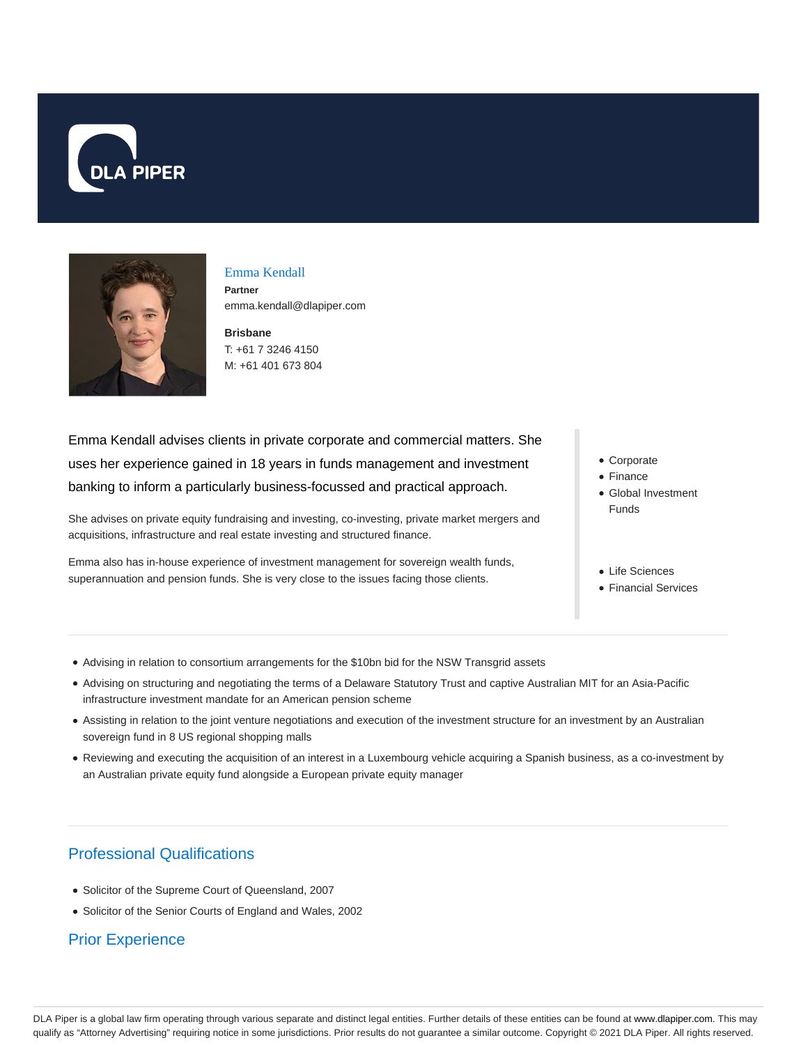



# Emma Kendall

**Partner** emma.kendall@dlapiper.com

**Brisbane** T: +61 7 3246 4150 M: +61 401 673 804

Emma Kendall advises clients in private corporate and commercial matters. She uses her experience gained in 18 years in funds management and investment banking to inform a particularly business-focussed and practical approach.

She advises on private equity fundraising and investing, co-investing, private market mergers and acquisitions, infrastructure and real estate investing and structured finance.

Emma also has in-house experience of investment management for sovereign wealth funds, superannuation and pension funds. She is very close to the issues facing those clients.

- Corporate
- Finance
- Global Investment Funds
- Life Sciences
- **Financial Services**
- Advising in relation to consortium arrangements for the \$10bn bid for the NSW Transgrid assets
- Advising on structuring and negotiating the terms of a Delaware Statutory Trust and captive Australian MIT for an Asia-Pacific infrastructure investment mandate for an American pension scheme
- Assisting in relation to the joint venture negotiations and execution of the investment structure for an investment by an Australian sovereign fund in 8 US regional shopping malls
- Reviewing and executing the acquisition of an interest in a Luxembourg vehicle acquiring a Spanish business, as a co-investment by an Australian private equity fund alongside a European private equity manager

## Professional Qualifications

- Solicitor of the Supreme Court of Queensland, 2007
- Solicitor of the Senior Courts of England and Wales, 2002

## Prior Experience

DLA Piper is a global law firm operating through various separate and distinct legal entities. Further details of these entities can be found at www.dlapiper.com. This may qualify as "Attorney Advertising" requiring notice in some jurisdictions. Prior results do not guarantee a similar outcome. Copyright © 2021 DLA Piper. All rights reserved.